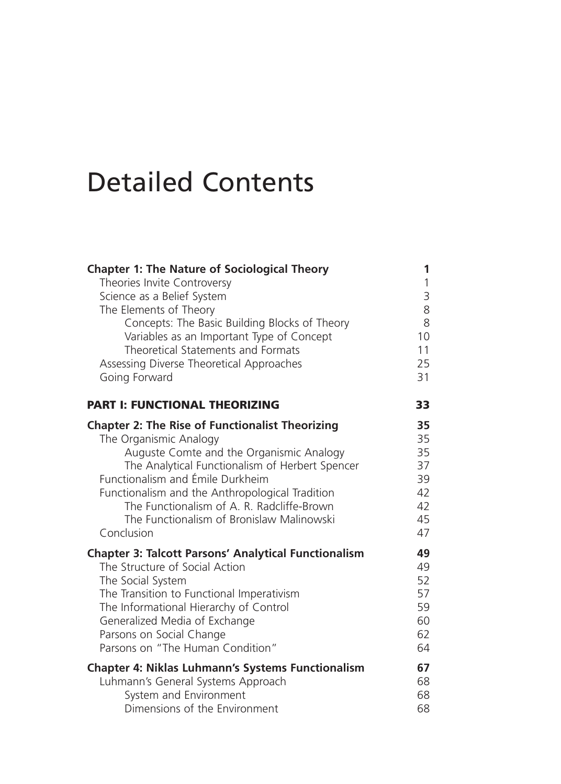## Detailed Contents

| <b>Chapter 1: The Nature of Sociological Theory</b>         | 1            |
|-------------------------------------------------------------|--------------|
| Theories Invite Controversy                                 | $\mathbf{1}$ |
| Science as a Belief System                                  | 3            |
| The Elements of Theory                                      | 8            |
| Concepts: The Basic Building Blocks of Theory               | 8            |
| Variables as an Important Type of Concept                   | 10           |
| Theoretical Statements and Formats                          | 11           |
| Assessing Diverse Theoretical Approaches                    | 25           |
| Going Forward                                               | 31           |
| <b>PART I: FUNCTIONAL THEORIZING</b>                        | 33           |
| <b>Chapter 2: The Rise of Functionalist Theorizing</b>      | 35           |
| The Organismic Analogy                                      | 35           |
| Auguste Comte and the Organismic Analogy                    | 35           |
| The Analytical Functionalism of Herbert Spencer             | 37           |
| Functionalism and Émile Durkheim                            | 39           |
| Functionalism and the Anthropological Tradition             | 42           |
| The Functionalism of A. R. Radcliffe-Brown                  | 42           |
| The Functionalism of Bronislaw Malinowski                   | 45           |
| Conclusion                                                  | 47           |
| <b>Chapter 3: Talcott Parsons' Analytical Functionalism</b> | 49           |
| The Structure of Social Action                              | 49           |
| The Social System                                           | 52           |
| The Transition to Functional Imperativism                   | 57           |
| The Informational Hierarchy of Control                      | 59           |
| Generalized Media of Exchange                               | 60           |
| Parsons on Social Change                                    | 62           |
| Parsons on "The Human Condition"                            | 64           |
| <b>Chapter 4: Niklas Luhmann's Systems Functionalism</b>    | 67           |
| Luhmann's General Systems Approach                          | 68           |
| System and Environment                                      | 68           |
| Dimensions of the Environment                               | 68           |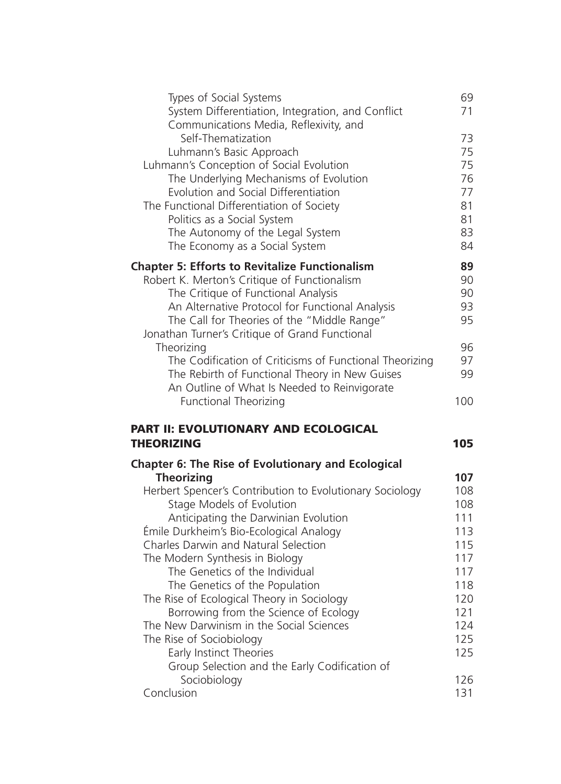| System Differentiation, Integration, and Conflict         |            |
|-----------------------------------------------------------|------------|
|                                                           | 71         |
| Communications Media, Reflexivity, and                    |            |
| Self-Thematization                                        | 73         |
| Luhmann's Basic Approach                                  | 75         |
| Luhmann's Conception of Social Evolution                  | 75         |
| The Underlying Mechanisms of Evolution                    | 76         |
| Evolution and Social Differentiation                      | 77         |
| The Functional Differentiation of Society                 | 81         |
| Politics as a Social System                               | 81         |
| The Autonomy of the Legal System                          | 83         |
| The Economy as a Social System                            | 84         |
| <b>Chapter 5: Efforts to Revitalize Functionalism</b>     | 89         |
| Robert K. Merton's Critique of Functionalism              | 90         |
| The Critique of Functional Analysis                       | 90         |
| An Alternative Protocol for Functional Analysis           | 93         |
| The Call for Theories of the "Middle Range"               | 95         |
| Jonathan Turner's Critique of Grand Functional            |            |
| Theorizing                                                | 96         |
| The Codification of Criticisms of Functional Theorizing   | 97         |
| The Rebirth of Functional Theory in New Guises            | 99         |
| An Outline of What Is Needed to Reinvigorate              |            |
| <b>Functional Theorizing</b>                              | 100        |
| PART II: EVOLUTIONARY AND ECOLOGICAL                      |            |
| <b>THEORIZING</b>                                         | 105        |
|                                                           |            |
|                                                           |            |
| <b>Chapter 6: The Rise of Evolutionary and Ecological</b> |            |
| <b>Theorizing</b>                                         | 107        |
| Herbert Spencer's Contribution to Evolutionary Sociology  | 108        |
| Stage Models of Evolution                                 | 108        |
| Anticipating the Darwinian Evolution                      | 111        |
| Émile Durkheim's Bio-Ecological Analogy                   | 113        |
| Charles Darwin and Natural Selection                      | 115        |
| The Modern Synthesis in Biology                           | 117        |
| The Genetics of the Individual                            | 117        |
| The Genetics of the Population                            | 118        |
| The Rise of Ecological Theory in Sociology                | 120        |
| Borrowing from the Science of Ecology                     | 121        |
| The New Darwinism in the Social Sciences                  | 124        |
| The Rise of Sociobiology                                  | 125        |
| Early Instinct Theories                                   | 125        |
| Group Selection and the Early Codification of             |            |
| Sociobiology<br>Conclusion                                | 126<br>131 |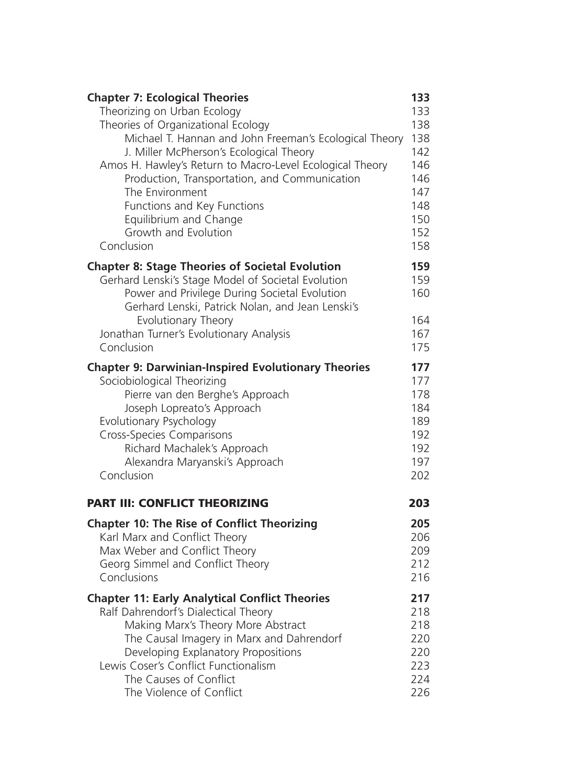| Theorizing on Urban Ecology<br>133<br>138<br>Theories of Organizational Ecology<br>Michael T. Hannan and John Freeman's Ecological Theory<br>138<br>142<br>J. Miller McPherson's Ecological Theory<br>Amos H. Hawley's Return to Macro-Level Ecological Theory<br>146<br>Production, Transportation, and Communication<br>146<br>147<br>The Environment<br>148<br>Functions and Key Functions<br>150<br>Equilibrium and Change<br>Growth and Evolution<br>152<br>Conclusion<br>158<br>159<br><b>Chapter 8: Stage Theories of Societal Evolution</b><br>Gerhard Lenski's Stage Model of Societal Evolution<br>159<br>Power and Privilege During Societal Evolution<br>160<br>Gerhard Lenski, Patrick Nolan, and Jean Lenski's<br>Evolutionary Theory<br>164<br>Jonathan Turner's Evolutionary Analysis<br>167<br>Conclusion<br>175<br><b>Chapter 9: Darwinian-Inspired Evolutionary Theories</b><br>177<br>Sociobiological Theorizing<br>177<br>Pierre van den Berghe's Approach<br>178<br>Joseph Lopreato's Approach<br>184<br>Evolutionary Psychology<br>189<br>192<br><b>Cross-Species Comparisons</b><br>Richard Machalek's Approach<br>192<br>197<br>Alexandra Maryanski's Approach<br>Conclusion<br>202<br><b>PART III: CONFLICT THEORIZING</b><br>203<br><b>Chapter 10: The Rise of Conflict Theorizing</b><br>205<br>Karl Marx and Conflict Theory<br>206<br>Max Weber and Conflict Theory<br>209<br>Georg Simmel and Conflict Theory<br>212<br>Conclusions<br>216<br><b>Chapter 11: Early Analytical Conflict Theories</b><br>217<br>Ralf Dahrendorf's Dialectical Theory<br>218<br>Making Marx's Theory More Abstract<br>218<br>The Causal Imagery in Marx and Dahrendorf<br>220<br>Developing Explanatory Propositions<br>220<br>Lewis Coser's Conflict Functionalism<br>223<br>The Causes of Conflict<br>224 | <b>Chapter 7: Ecological Theories</b> | 133 |
|-------------------------------------------------------------------------------------------------------------------------------------------------------------------------------------------------------------------------------------------------------------------------------------------------------------------------------------------------------------------------------------------------------------------------------------------------------------------------------------------------------------------------------------------------------------------------------------------------------------------------------------------------------------------------------------------------------------------------------------------------------------------------------------------------------------------------------------------------------------------------------------------------------------------------------------------------------------------------------------------------------------------------------------------------------------------------------------------------------------------------------------------------------------------------------------------------------------------------------------------------------------------------------------------------------------------------------------------------------------------------------------------------------------------------------------------------------------------------------------------------------------------------------------------------------------------------------------------------------------------------------------------------------------------------------------------------------------------------------------------------------------------------------------------------------------------------|---------------------------------------|-----|
|                                                                                                                                                                                                                                                                                                                                                                                                                                                                                                                                                                                                                                                                                                                                                                                                                                                                                                                                                                                                                                                                                                                                                                                                                                                                                                                                                                                                                                                                                                                                                                                                                                                                                                                                                                                                                         |                                       |     |
|                                                                                                                                                                                                                                                                                                                                                                                                                                                                                                                                                                                                                                                                                                                                                                                                                                                                                                                                                                                                                                                                                                                                                                                                                                                                                                                                                                                                                                                                                                                                                                                                                                                                                                                                                                                                                         |                                       |     |
|                                                                                                                                                                                                                                                                                                                                                                                                                                                                                                                                                                                                                                                                                                                                                                                                                                                                                                                                                                                                                                                                                                                                                                                                                                                                                                                                                                                                                                                                                                                                                                                                                                                                                                                                                                                                                         |                                       |     |
|                                                                                                                                                                                                                                                                                                                                                                                                                                                                                                                                                                                                                                                                                                                                                                                                                                                                                                                                                                                                                                                                                                                                                                                                                                                                                                                                                                                                                                                                                                                                                                                                                                                                                                                                                                                                                         |                                       |     |
|                                                                                                                                                                                                                                                                                                                                                                                                                                                                                                                                                                                                                                                                                                                                                                                                                                                                                                                                                                                                                                                                                                                                                                                                                                                                                                                                                                                                                                                                                                                                                                                                                                                                                                                                                                                                                         |                                       |     |
|                                                                                                                                                                                                                                                                                                                                                                                                                                                                                                                                                                                                                                                                                                                                                                                                                                                                                                                                                                                                                                                                                                                                                                                                                                                                                                                                                                                                                                                                                                                                                                                                                                                                                                                                                                                                                         |                                       |     |
|                                                                                                                                                                                                                                                                                                                                                                                                                                                                                                                                                                                                                                                                                                                                                                                                                                                                                                                                                                                                                                                                                                                                                                                                                                                                                                                                                                                                                                                                                                                                                                                                                                                                                                                                                                                                                         |                                       |     |
|                                                                                                                                                                                                                                                                                                                                                                                                                                                                                                                                                                                                                                                                                                                                                                                                                                                                                                                                                                                                                                                                                                                                                                                                                                                                                                                                                                                                                                                                                                                                                                                                                                                                                                                                                                                                                         |                                       |     |
|                                                                                                                                                                                                                                                                                                                                                                                                                                                                                                                                                                                                                                                                                                                                                                                                                                                                                                                                                                                                                                                                                                                                                                                                                                                                                                                                                                                                                                                                                                                                                                                                                                                                                                                                                                                                                         |                                       |     |
|                                                                                                                                                                                                                                                                                                                                                                                                                                                                                                                                                                                                                                                                                                                                                                                                                                                                                                                                                                                                                                                                                                                                                                                                                                                                                                                                                                                                                                                                                                                                                                                                                                                                                                                                                                                                                         |                                       |     |
|                                                                                                                                                                                                                                                                                                                                                                                                                                                                                                                                                                                                                                                                                                                                                                                                                                                                                                                                                                                                                                                                                                                                                                                                                                                                                                                                                                                                                                                                                                                                                                                                                                                                                                                                                                                                                         |                                       |     |
|                                                                                                                                                                                                                                                                                                                                                                                                                                                                                                                                                                                                                                                                                                                                                                                                                                                                                                                                                                                                                                                                                                                                                                                                                                                                                                                                                                                                                                                                                                                                                                                                                                                                                                                                                                                                                         |                                       |     |
|                                                                                                                                                                                                                                                                                                                                                                                                                                                                                                                                                                                                                                                                                                                                                                                                                                                                                                                                                                                                                                                                                                                                                                                                                                                                                                                                                                                                                                                                                                                                                                                                                                                                                                                                                                                                                         |                                       |     |
|                                                                                                                                                                                                                                                                                                                                                                                                                                                                                                                                                                                                                                                                                                                                                                                                                                                                                                                                                                                                                                                                                                                                                                                                                                                                                                                                                                                                                                                                                                                                                                                                                                                                                                                                                                                                                         |                                       |     |
|                                                                                                                                                                                                                                                                                                                                                                                                                                                                                                                                                                                                                                                                                                                                                                                                                                                                                                                                                                                                                                                                                                                                                                                                                                                                                                                                                                                                                                                                                                                                                                                                                                                                                                                                                                                                                         |                                       |     |
|                                                                                                                                                                                                                                                                                                                                                                                                                                                                                                                                                                                                                                                                                                                                                                                                                                                                                                                                                                                                                                                                                                                                                                                                                                                                                                                                                                                                                                                                                                                                                                                                                                                                                                                                                                                                                         |                                       |     |
|                                                                                                                                                                                                                                                                                                                                                                                                                                                                                                                                                                                                                                                                                                                                                                                                                                                                                                                                                                                                                                                                                                                                                                                                                                                                                                                                                                                                                                                                                                                                                                                                                                                                                                                                                                                                                         |                                       |     |
|                                                                                                                                                                                                                                                                                                                                                                                                                                                                                                                                                                                                                                                                                                                                                                                                                                                                                                                                                                                                                                                                                                                                                                                                                                                                                                                                                                                                                                                                                                                                                                                                                                                                                                                                                                                                                         |                                       |     |
|                                                                                                                                                                                                                                                                                                                                                                                                                                                                                                                                                                                                                                                                                                                                                                                                                                                                                                                                                                                                                                                                                                                                                                                                                                                                                                                                                                                                                                                                                                                                                                                                                                                                                                                                                                                                                         |                                       |     |
|                                                                                                                                                                                                                                                                                                                                                                                                                                                                                                                                                                                                                                                                                                                                                                                                                                                                                                                                                                                                                                                                                                                                                                                                                                                                                                                                                                                                                                                                                                                                                                                                                                                                                                                                                                                                                         |                                       |     |
|                                                                                                                                                                                                                                                                                                                                                                                                                                                                                                                                                                                                                                                                                                                                                                                                                                                                                                                                                                                                                                                                                                                                                                                                                                                                                                                                                                                                                                                                                                                                                                                                                                                                                                                                                                                                                         |                                       |     |
|                                                                                                                                                                                                                                                                                                                                                                                                                                                                                                                                                                                                                                                                                                                                                                                                                                                                                                                                                                                                                                                                                                                                                                                                                                                                                                                                                                                                                                                                                                                                                                                                                                                                                                                                                                                                                         |                                       |     |
|                                                                                                                                                                                                                                                                                                                                                                                                                                                                                                                                                                                                                                                                                                                                                                                                                                                                                                                                                                                                                                                                                                                                                                                                                                                                                                                                                                                                                                                                                                                                                                                                                                                                                                                                                                                                                         |                                       |     |
|                                                                                                                                                                                                                                                                                                                                                                                                                                                                                                                                                                                                                                                                                                                                                                                                                                                                                                                                                                                                                                                                                                                                                                                                                                                                                                                                                                                                                                                                                                                                                                                                                                                                                                                                                                                                                         |                                       |     |
|                                                                                                                                                                                                                                                                                                                                                                                                                                                                                                                                                                                                                                                                                                                                                                                                                                                                                                                                                                                                                                                                                                                                                                                                                                                                                                                                                                                                                                                                                                                                                                                                                                                                                                                                                                                                                         |                                       |     |
|                                                                                                                                                                                                                                                                                                                                                                                                                                                                                                                                                                                                                                                                                                                                                                                                                                                                                                                                                                                                                                                                                                                                                                                                                                                                                                                                                                                                                                                                                                                                                                                                                                                                                                                                                                                                                         |                                       |     |
|                                                                                                                                                                                                                                                                                                                                                                                                                                                                                                                                                                                                                                                                                                                                                                                                                                                                                                                                                                                                                                                                                                                                                                                                                                                                                                                                                                                                                                                                                                                                                                                                                                                                                                                                                                                                                         |                                       |     |
|                                                                                                                                                                                                                                                                                                                                                                                                                                                                                                                                                                                                                                                                                                                                                                                                                                                                                                                                                                                                                                                                                                                                                                                                                                                                                                                                                                                                                                                                                                                                                                                                                                                                                                                                                                                                                         |                                       |     |
|                                                                                                                                                                                                                                                                                                                                                                                                                                                                                                                                                                                                                                                                                                                                                                                                                                                                                                                                                                                                                                                                                                                                                                                                                                                                                                                                                                                                                                                                                                                                                                                                                                                                                                                                                                                                                         |                                       |     |
|                                                                                                                                                                                                                                                                                                                                                                                                                                                                                                                                                                                                                                                                                                                                                                                                                                                                                                                                                                                                                                                                                                                                                                                                                                                                                                                                                                                                                                                                                                                                                                                                                                                                                                                                                                                                                         |                                       |     |
|                                                                                                                                                                                                                                                                                                                                                                                                                                                                                                                                                                                                                                                                                                                                                                                                                                                                                                                                                                                                                                                                                                                                                                                                                                                                                                                                                                                                                                                                                                                                                                                                                                                                                                                                                                                                                         |                                       |     |
|                                                                                                                                                                                                                                                                                                                                                                                                                                                                                                                                                                                                                                                                                                                                                                                                                                                                                                                                                                                                                                                                                                                                                                                                                                                                                                                                                                                                                                                                                                                                                                                                                                                                                                                                                                                                                         |                                       |     |
|                                                                                                                                                                                                                                                                                                                                                                                                                                                                                                                                                                                                                                                                                                                                                                                                                                                                                                                                                                                                                                                                                                                                                                                                                                                                                                                                                                                                                                                                                                                                                                                                                                                                                                                                                                                                                         |                                       |     |
|                                                                                                                                                                                                                                                                                                                                                                                                                                                                                                                                                                                                                                                                                                                                                                                                                                                                                                                                                                                                                                                                                                                                                                                                                                                                                                                                                                                                                                                                                                                                                                                                                                                                                                                                                                                                                         |                                       |     |
|                                                                                                                                                                                                                                                                                                                                                                                                                                                                                                                                                                                                                                                                                                                                                                                                                                                                                                                                                                                                                                                                                                                                                                                                                                                                                                                                                                                                                                                                                                                                                                                                                                                                                                                                                                                                                         |                                       |     |
|                                                                                                                                                                                                                                                                                                                                                                                                                                                                                                                                                                                                                                                                                                                                                                                                                                                                                                                                                                                                                                                                                                                                                                                                                                                                                                                                                                                                                                                                                                                                                                                                                                                                                                                                                                                                                         |                                       |     |
|                                                                                                                                                                                                                                                                                                                                                                                                                                                                                                                                                                                                                                                                                                                                                                                                                                                                                                                                                                                                                                                                                                                                                                                                                                                                                                                                                                                                                                                                                                                                                                                                                                                                                                                                                                                                                         |                                       |     |
|                                                                                                                                                                                                                                                                                                                                                                                                                                                                                                                                                                                                                                                                                                                                                                                                                                                                                                                                                                                                                                                                                                                                                                                                                                                                                                                                                                                                                                                                                                                                                                                                                                                                                                                                                                                                                         |                                       |     |
|                                                                                                                                                                                                                                                                                                                                                                                                                                                                                                                                                                                                                                                                                                                                                                                                                                                                                                                                                                                                                                                                                                                                                                                                                                                                                                                                                                                                                                                                                                                                                                                                                                                                                                                                                                                                                         |                                       |     |
|                                                                                                                                                                                                                                                                                                                                                                                                                                                                                                                                                                                                                                                                                                                                                                                                                                                                                                                                                                                                                                                                                                                                                                                                                                                                                                                                                                                                                                                                                                                                                                                                                                                                                                                                                                                                                         |                                       |     |
|                                                                                                                                                                                                                                                                                                                                                                                                                                                                                                                                                                                                                                                                                                                                                                                                                                                                                                                                                                                                                                                                                                                                                                                                                                                                                                                                                                                                                                                                                                                                                                                                                                                                                                                                                                                                                         |                                       |     |
|                                                                                                                                                                                                                                                                                                                                                                                                                                                                                                                                                                                                                                                                                                                                                                                                                                                                                                                                                                                                                                                                                                                                                                                                                                                                                                                                                                                                                                                                                                                                                                                                                                                                                                                                                                                                                         | The Violence of Conflict              | 226 |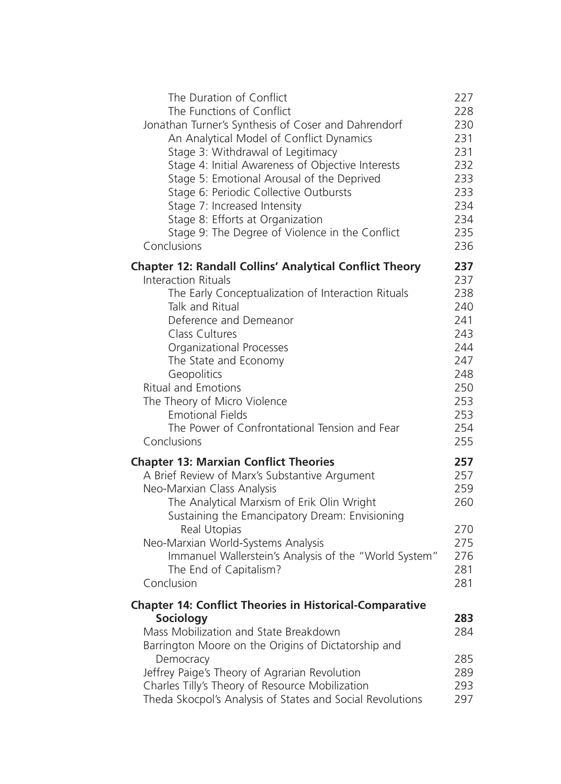| The Duration of Conflict                                                                        | 227        |
|-------------------------------------------------------------------------------------------------|------------|
| The Functions of Conflict                                                                       | 228        |
| Jonathan Turner's Synthesis of Coser and Dahrendorf<br>An Analytical Model of Conflict Dynamics | 230<br>231 |
| Stage 3: Withdrawal of Legitimacy                                                               | 231        |
| Stage 4: Initial Awareness of Objective Interests                                               | 232        |
| Stage 5: Emotional Arousal of the Deprived                                                      | 233        |
| Stage 6: Periodic Collective Outbursts                                                          | 233        |
| Stage 7: Increased Intensity                                                                    | 234        |
| Stage 8: Efforts at Organization                                                                | 234        |
| Stage 9: The Degree of Violence in the Conflict                                                 | 235        |
| Conclusions                                                                                     | 236        |
| <b>Chapter 12: Randall Collins' Analytical Conflict Theory</b>                                  | 237        |
| <b>Interaction Rituals</b>                                                                      | 237        |
| The Early Conceptualization of Interaction Rituals                                              | 238        |
| Talk and Ritual                                                                                 | 240        |
| Deference and Demeanor<br>Class Cultures                                                        | 241<br>243 |
| Organizational Processes                                                                        | 244        |
| The State and Economy                                                                           | 247        |
| Geopolitics                                                                                     | 248        |
| <b>Ritual and Emotions</b>                                                                      | 250        |
| The Theory of Micro Violence                                                                    | 253        |
| <b>Emotional Fields</b>                                                                         | 253        |
| The Power of Confrontational Tension and Fear                                                   | 254        |
| Conclusions                                                                                     | 255        |
| <b>Chapter 13: Marxian Conflict Theories</b>                                                    | 257        |
| A Brief Review of Marx's Substantive Argument                                                   | 257        |
| Neo-Marxian Class Analysis                                                                      | 259        |
| The Analytical Marxism of Erik Olin Wright                                                      | 260        |
| Sustaining the Emancipatory Dream: Envisioning                                                  |            |
| Real Utopias                                                                                    | 270<br>275 |
| Neo-Marxian World-Systems Analysis<br>Immanuel Wallerstein's Analysis of the "World System"     | 276        |
| The End of Capitalism?                                                                          | 281        |
| Conclusion                                                                                      | 281        |
| <b>Chapter 14: Conflict Theories in Historical-Comparative</b>                                  |            |
| <b>Sociology</b>                                                                                | 283        |
| Mass Mobilization and State Breakdown                                                           | 284        |
| Barrington Moore on the Origins of Dictatorship and                                             |            |
| Democracy                                                                                       | 285        |
| Jeffrey Paige's Theory of Agrarian Revolution                                                   | 289        |
| Charles Tilly's Theory of Resource Mobilization                                                 | 293        |
| Theda Skocpol's Analysis of States and Social Revolutions                                       | 297        |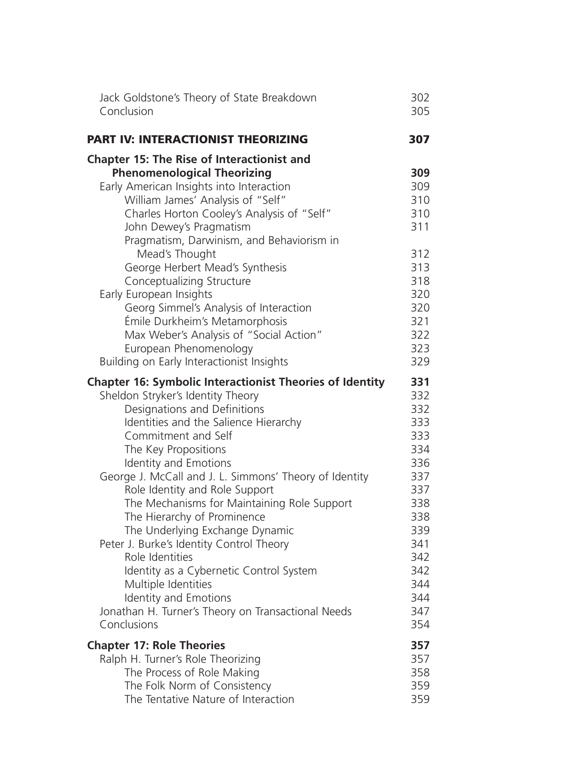| Jack Goldstone's Theory of State Breakdown                                                                                                                                                                                                                                                                                                                                                                                                                                                                                                                                                                | 302                                                                                            |
|-----------------------------------------------------------------------------------------------------------------------------------------------------------------------------------------------------------------------------------------------------------------------------------------------------------------------------------------------------------------------------------------------------------------------------------------------------------------------------------------------------------------------------------------------------------------------------------------------------------|------------------------------------------------------------------------------------------------|
| Conclusion                                                                                                                                                                                                                                                                                                                                                                                                                                                                                                                                                                                                | 305                                                                                            |
| <b>PART IV: INTERACTIONIST THEORIZING</b>                                                                                                                                                                                                                                                                                                                                                                                                                                                                                                                                                                 | 307                                                                                            |
| <b>Chapter 15: The Rise of Interactionist and</b><br><b>Phenomenological Theorizing</b><br>Early American Insights into Interaction<br>William James' Analysis of "Self"<br>Charles Horton Cooley's Analysis of "Self"<br>John Dewey's Pragmatism<br>Pragmatism, Darwinism, and Behaviorism in<br>Mead's Thought<br>George Herbert Mead's Synthesis<br>Conceptualizing Structure<br>Early European Insights<br>Georg Simmel's Analysis of Interaction<br>Émile Durkheim's Metamorphosis<br>Max Weber's Analysis of "Social Action"<br>European Phenomenology<br>Building on Early Interactionist Insights | 309<br>309<br>310<br>310<br>311<br>312<br>313<br>318<br>320<br>320<br>321<br>322<br>323<br>329 |
| <b>Chapter 16: Symbolic Interactionist Theories of Identity</b>                                                                                                                                                                                                                                                                                                                                                                                                                                                                                                                                           | 331                                                                                            |
| Sheldon Stryker's Identity Theory                                                                                                                                                                                                                                                                                                                                                                                                                                                                                                                                                                         | 332                                                                                            |
| Designations and Definitions                                                                                                                                                                                                                                                                                                                                                                                                                                                                                                                                                                              | 332                                                                                            |
| Identities and the Salience Hierarchy                                                                                                                                                                                                                                                                                                                                                                                                                                                                                                                                                                     | 333                                                                                            |
| Commitment and Self                                                                                                                                                                                                                                                                                                                                                                                                                                                                                                                                                                                       | 333                                                                                            |
| The Key Propositions                                                                                                                                                                                                                                                                                                                                                                                                                                                                                                                                                                                      | 334                                                                                            |
| Identity and Emotions                                                                                                                                                                                                                                                                                                                                                                                                                                                                                                                                                                                     | 336                                                                                            |
| George J. McCall and J. L. Simmons' Theory of Identity                                                                                                                                                                                                                                                                                                                                                                                                                                                                                                                                                    | 337                                                                                            |
| Role Identity and Role Support                                                                                                                                                                                                                                                                                                                                                                                                                                                                                                                                                                            | 337                                                                                            |
| The Mechanisms for Maintaining Role Support                                                                                                                                                                                                                                                                                                                                                                                                                                                                                                                                                               | 338                                                                                            |
| The Hierarchy of Prominence                                                                                                                                                                                                                                                                                                                                                                                                                                                                                                                                                                               | 338                                                                                            |
| The Underlying Exchange Dynamic                                                                                                                                                                                                                                                                                                                                                                                                                                                                                                                                                                           | 339                                                                                            |
| Peter J. Burke's Identity Control Theory                                                                                                                                                                                                                                                                                                                                                                                                                                                                                                                                                                  | 341                                                                                            |
| Role Identities                                                                                                                                                                                                                                                                                                                                                                                                                                                                                                                                                                                           | 342                                                                                            |
| Identity as a Cybernetic Control System                                                                                                                                                                                                                                                                                                                                                                                                                                                                                                                                                                   | 342                                                                                            |
| Multiple Identities                                                                                                                                                                                                                                                                                                                                                                                                                                                                                                                                                                                       | 344                                                                                            |
| Identity and Emotions                                                                                                                                                                                                                                                                                                                                                                                                                                                                                                                                                                                     | 344                                                                                            |
| Jonathan H. Turner's Theory on Transactional Needs                                                                                                                                                                                                                                                                                                                                                                                                                                                                                                                                                        | 347                                                                                            |
| Conclusions                                                                                                                                                                                                                                                                                                                                                                                                                                                                                                                                                                                               | 354                                                                                            |
| <b>Chapter 17: Role Theories</b>                                                                                                                                                                                                                                                                                                                                                                                                                                                                                                                                                                          | 357                                                                                            |
| Ralph H. Turner's Role Theorizing                                                                                                                                                                                                                                                                                                                                                                                                                                                                                                                                                                         | 357                                                                                            |
| The Process of Role Making                                                                                                                                                                                                                                                                                                                                                                                                                                                                                                                                                                                | 358                                                                                            |
| The Folk Norm of Consistency                                                                                                                                                                                                                                                                                                                                                                                                                                                                                                                                                                              | 359                                                                                            |
| The Tentative Nature of Interaction                                                                                                                                                                                                                                                                                                                                                                                                                                                                                                                                                                       | 359                                                                                            |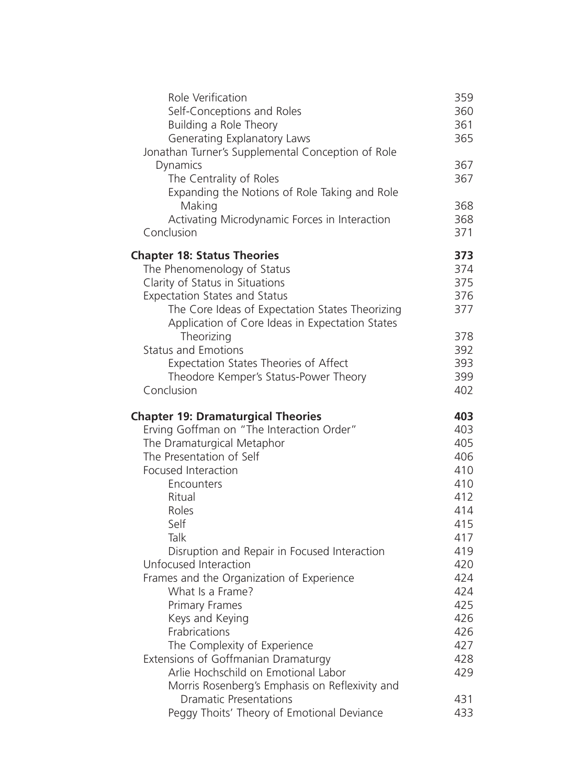| Self-Conceptions and Roles<br>Building a Role Theory<br>Generating Explanatory Laws                                                                                                                                                                                                                                                                                                                                                                                          | 359<br>360<br>361<br>365                                                                                     |
|------------------------------------------------------------------------------------------------------------------------------------------------------------------------------------------------------------------------------------------------------------------------------------------------------------------------------------------------------------------------------------------------------------------------------------------------------------------------------|--------------------------------------------------------------------------------------------------------------|
| Jonathan Turner's Supplemental Conception of Role<br>Dynamics<br>The Centrality of Roles<br>Expanding the Notions of Role Taking and Role                                                                                                                                                                                                                                                                                                                                    | 367<br>367                                                                                                   |
| Making<br>Activating Microdynamic Forces in Interaction<br>Conclusion                                                                                                                                                                                                                                                                                                                                                                                                        | 368<br>368<br>371                                                                                            |
| <b>Chapter 18: Status Theories</b><br>The Phenomenology of Status<br>Clarity of Status in Situations<br><b>Expectation States and Status</b><br>The Core Ideas of Expectation States Theorizing<br>Application of Core Ideas in Expectation States<br>Theorizing<br><b>Status and Emotions</b>                                                                                                                                                                               | 373<br>374<br>375<br>376<br>377<br>378<br>392                                                                |
| Expectation States Theories of Affect<br>Theodore Kemper's Status-Power Theory<br>Conclusion                                                                                                                                                                                                                                                                                                                                                                                 | 393<br>399<br>402                                                                                            |
| <b>Chapter 19: Dramaturgical Theories</b><br>Erving Goffman on "The Interaction Order"<br>The Dramaturgical Metaphor<br>The Presentation of Self                                                                                                                                                                                                                                                                                                                             | 403<br>403<br>405<br>406<br>410                                                                              |
| Focused Interaction<br>Encounters<br>Ritual<br>Roles<br>Self<br>Talk<br>Disruption and Repair in Focused Interaction<br>Unfocused Interaction<br>Frames and the Organization of Experience<br>What Is a Frame?<br><b>Primary Frames</b><br>Keys and Keying<br>Frabrications<br>The Complexity of Experience<br>Extensions of Goffmanian Dramaturgy<br>Arlie Hochschild on Emotional Labor<br>Morris Rosenberg's Emphasis on Reflexivity and<br><b>Dramatic Presentations</b> | 410<br>412<br>414<br>415<br>417<br>419<br>420<br>424<br>424<br>425<br>426<br>426<br>427<br>428<br>429<br>431 |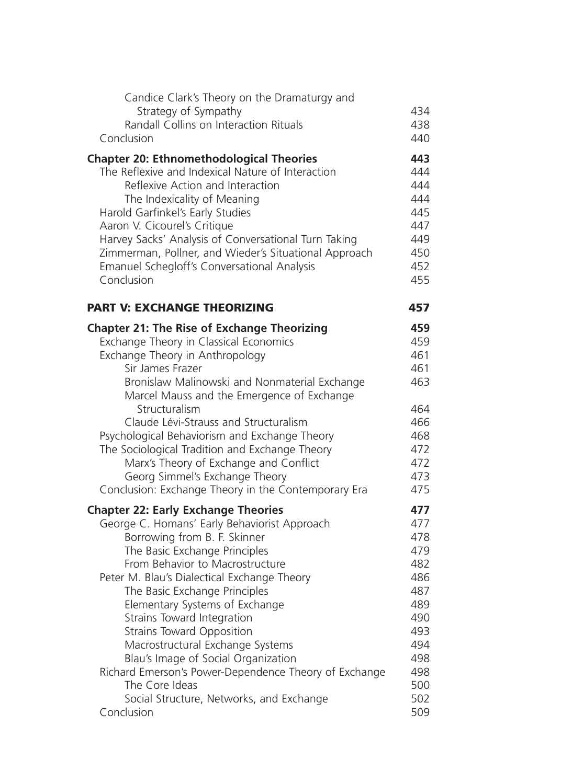| Candice Clark's Theory on the Dramaturgy and                                                         |            |
|------------------------------------------------------------------------------------------------------|------------|
| Strategy of Sympathy                                                                                 | 434        |
| Randall Collins on Interaction Rituals<br>Conclusion                                                 | 438<br>440 |
|                                                                                                      |            |
| <b>Chapter 20: Ethnomethodological Theories</b><br>The Reflexive and Indexical Nature of Interaction | 443<br>444 |
| Reflexive Action and Interaction                                                                     | 444        |
| The Indexicality of Meaning                                                                          | 444        |
| Harold Garfinkel's Early Studies                                                                     | 445        |
| Aaron V. Cicourel's Critique                                                                         | 447        |
| Harvey Sacks' Analysis of Conversational Turn Taking                                                 | 449        |
| Zimmerman, Pollner, and Wieder's Situational Approach                                                | 450        |
| Emanuel Schegloff's Conversational Analysis                                                          | 452        |
| Conclusion                                                                                           | 455        |
| <b>PART V: EXCHANGE THEORIZING</b>                                                                   | 457        |
| <b>Chapter 21: The Rise of Exchange Theorizing</b>                                                   | 459        |
| Exchange Theory in Classical Economics                                                               | 459        |
| Exchange Theory in Anthropology                                                                      | 461        |
| Sir James Frazer                                                                                     | 461        |
| Bronislaw Malinowski and Nonmaterial Exchange<br>Marcel Mauss and the Emergence of Exchange          | 463        |
| Structuralism                                                                                        | 464        |
| Claude Lévi-Strauss and Structuralism                                                                | 466        |
| Psychological Behaviorism and Exchange Theory                                                        | 468        |
| The Sociological Tradition and Exchange Theory<br>Marx's Theory of Exchange and Conflict             | 472<br>472 |
| Georg Simmel's Exchange Theory                                                                       | 473        |
| Conclusion: Exchange Theory in the Contemporary Era                                                  | 475        |
| <b>Chapter 22: Early Exchange Theories</b>                                                           | 477        |
| George C. Homans' Early Behaviorist Approach                                                         | 477        |
| Borrowing from B. F. Skinner                                                                         | 478        |
| The Basic Exchange Principles                                                                        | 479        |
| From Behavior to Macrostructure                                                                      | 482        |
| Peter M. Blau's Dialectical Exchange Theory                                                          | 486        |
| The Basic Exchange Principles                                                                        | 487        |
| Elementary Systems of Exchange                                                                       | 489        |
| Strains Toward Integration                                                                           | 490        |
| <b>Strains Toward Opposition</b>                                                                     | 493<br>494 |
| Macrostructural Exchange Systems<br>Blau's Image of Social Organization                              | 498        |
| Richard Emerson's Power-Dependence Theory of Exchange                                                | 498        |
| The Core Ideas                                                                                       | 500        |
| Social Structure, Networks, and Exchange                                                             | 502        |
| Conclusion                                                                                           | 509        |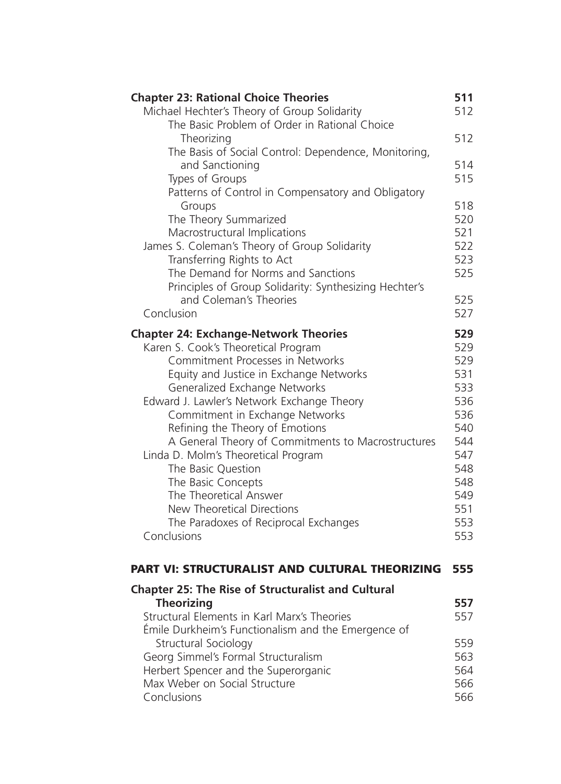| <b>Chapter 23: Rational Choice Theories</b>               | 511 |
|-----------------------------------------------------------|-----|
| Michael Hechter's Theory of Group Solidarity              | 512 |
| The Basic Problem of Order in Rational Choice             |     |
| Theorizing                                                | 512 |
| The Basis of Social Control: Dependence, Monitoring,      |     |
| and Sanctioning                                           | 514 |
| Types of Groups                                           | 515 |
| Patterns of Control in Compensatory and Obligatory        |     |
| Groups                                                    | 518 |
| The Theory Summarized                                     | 520 |
| Macrostructural Implications                              | 521 |
| James S. Coleman's Theory of Group Solidarity             | 522 |
| Transferring Rights to Act                                | 523 |
| The Demand for Norms and Sanctions                        | 525 |
| Principles of Group Solidarity: Synthesizing Hechter's    |     |
| and Coleman's Theories                                    | 525 |
| Conclusion                                                | 527 |
|                                                           |     |
| <b>Chapter 24: Exchange-Network Theories</b>              | 529 |
| Karen S. Cook's Theoretical Program                       | 529 |
| Commitment Processes in Networks                          | 529 |
| Equity and Justice in Exchange Networks                   | 531 |
| Generalized Exchange Networks                             | 533 |
| Edward J. Lawler's Network Exchange Theory                | 536 |
| Commitment in Exchange Networks                           | 536 |
| Refining the Theory of Emotions                           | 540 |
| A General Theory of Commitments to Macrostructures        | 544 |
| Linda D. Molm's Theoretical Program                       | 547 |
| The Basic Question                                        | 548 |
| The Basic Concepts                                        | 548 |
| The Theoretical Answer                                    | 549 |
| New Theoretical Directions                                | 551 |
| The Paradoxes of Reciprocal Exchanges                     | 553 |
| Conclusions                                               | 553 |
|                                                           |     |
| PART VI: STRUCTURALIST AND CULTURAL THEORIZING            | 555 |
|                                                           |     |
| <b>Chapter 25: The Rise of Structuralist and Cultural</b> |     |
| <b>Theorizing</b>                                         | 557 |
| Structural Elements in Karl Marx's Theories               | 557 |
| Émile Durkheim's Functionalism and the Emergence of       |     |
| Structural Sociology                                      | 559 |
| Georg Simmel's Formal Structuralism                       | 563 |
| Herbert Spencer and the Superorganic                      | 564 |
| Max Weber on Social Structure                             | 566 |
| Conclusions                                               | 566 |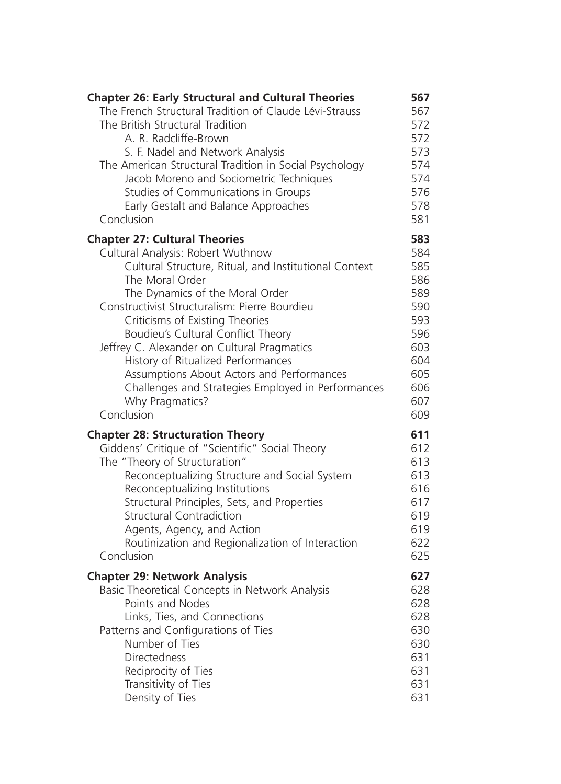| <b>Chapter 26: Early Structural and Cultural Theories</b> | 567 |
|-----------------------------------------------------------|-----|
| The French Structural Tradition of Claude Lévi-Strauss    | 567 |
| The British Structural Tradition                          | 572 |
| A. R. Radcliffe-Brown                                     | 572 |
| S. F. Nadel and Network Analysis                          | 573 |
| The American Structural Tradition in Social Psychology    | 574 |
| Jacob Moreno and Sociometric Techniques                   | 574 |
| Studies of Communications in Groups                       | 576 |
| Early Gestalt and Balance Approaches                      | 578 |
| Conclusion                                                | 581 |
| <b>Chapter 27: Cultural Theories</b>                      | 583 |
| Cultural Analysis: Robert Wuthnow                         | 584 |
| Cultural Structure, Ritual, and Institutional Context     | 585 |
| The Moral Order                                           | 586 |
| The Dynamics of the Moral Order                           | 589 |
| Constructivist Structuralism: Pierre Bourdieu             | 590 |
| Criticisms of Existing Theories                           | 593 |
| Boudieu's Cultural Conflict Theory                        | 596 |
| Jeffrey C. Alexander on Cultural Pragmatics               | 603 |
| History of Ritualized Performances                        | 604 |
| Assumptions About Actors and Performances                 | 605 |
| Challenges and Strategies Employed in Performances        | 606 |
| Why Pragmatics?                                           | 607 |
| Conclusion                                                | 609 |
| <b>Chapter 28: Structuration Theory</b>                   | 611 |
| Giddens' Critique of "Scientific" Social Theory           | 612 |
| The "Theory of Structuration"                             | 613 |
| Reconceptualizing Structure and Social System             | 613 |
| Reconceptualizing Institutions                            | 616 |
| Structural Principles, Sets, and Properties               | 617 |
| <b>Structural Contradiction</b>                           | 619 |
| Agents, Agency, and Action                                | 619 |
| Routinization and Regionalization of Interaction          | 622 |
| Conclusion                                                | 625 |
| <b>Chapter 29: Network Analysis</b>                       | 627 |
| Basic Theoretical Concepts in Network Analysis            | 628 |
| Points and Nodes                                          | 628 |
| Links, Ties, and Connections                              | 628 |
| Patterns and Configurations of Ties                       | 630 |
| Number of Ties                                            | 630 |
| <b>Directedness</b>                                       | 631 |
| Reciprocity of Ties                                       | 631 |
| Transitivity of Ties                                      | 631 |
| Density of Ties                                           | 631 |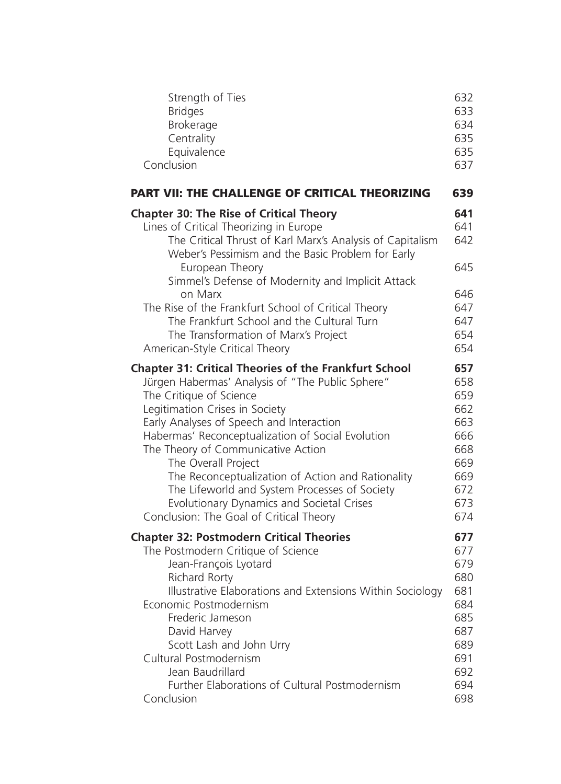| Strength of Ties                                                                                                                                                                                                                                                                                                                                                                                                                                                             | 632                                                         |
|------------------------------------------------------------------------------------------------------------------------------------------------------------------------------------------------------------------------------------------------------------------------------------------------------------------------------------------------------------------------------------------------------------------------------------------------------------------------------|-------------------------------------------------------------|
| <b>Bridges</b>                                                                                                                                                                                                                                                                                                                                                                                                                                                               | 633                                                         |
| Brokerage                                                                                                                                                                                                                                                                                                                                                                                                                                                                    | 634                                                         |
| Centrality                                                                                                                                                                                                                                                                                                                                                                                                                                                                   | 635                                                         |
| Equivalence                                                                                                                                                                                                                                                                                                                                                                                                                                                                  | 635                                                         |
| Conclusion                                                                                                                                                                                                                                                                                                                                                                                                                                                                   | 637                                                         |
| PART VII: THE CHALLENGE OF CRITICAL THEORIZING                                                                                                                                                                                                                                                                                                                                                                                                                               | 639                                                         |
| <b>Chapter 30: The Rise of Critical Theory</b><br>Lines of Critical Theorizing in Europe<br>The Critical Thrust of Karl Marx's Analysis of Capitalism<br>Weber's Pessimism and the Basic Problem for Early<br>European Theory<br>Simmel's Defense of Modernity and Implicit Attack<br>on Marx<br>The Rise of the Frankfurt School of Critical Theory<br>The Frankfurt School and the Cultural Turn<br>The Transformation of Marx's Project<br>American-Style Critical Theory | 641<br>641<br>642<br>645<br>646<br>647<br>647<br>654<br>654 |
| <b>Chapter 31: Critical Theories of the Frankfurt School</b>                                                                                                                                                                                                                                                                                                                                                                                                                 | 657                                                         |
| Jürgen Habermas' Analysis of "The Public Sphere"                                                                                                                                                                                                                                                                                                                                                                                                                             | 658                                                         |
| The Critique of Science                                                                                                                                                                                                                                                                                                                                                                                                                                                      | 659                                                         |
| Legitimation Crises in Society                                                                                                                                                                                                                                                                                                                                                                                                                                               | 662                                                         |
| Early Analyses of Speech and Interaction                                                                                                                                                                                                                                                                                                                                                                                                                                     | 663                                                         |
| Habermas' Reconceptualization of Social Evolution                                                                                                                                                                                                                                                                                                                                                                                                                            | 666                                                         |
| The Theory of Communicative Action                                                                                                                                                                                                                                                                                                                                                                                                                                           | 668                                                         |
| The Overall Project                                                                                                                                                                                                                                                                                                                                                                                                                                                          | 669                                                         |
| The Reconceptualization of Action and Rationality                                                                                                                                                                                                                                                                                                                                                                                                                            | 669                                                         |
| The Lifeworld and System Processes of Society                                                                                                                                                                                                                                                                                                                                                                                                                                | 672                                                         |
| Evolutionary Dynamics and Societal Crises                                                                                                                                                                                                                                                                                                                                                                                                                                    | 673                                                         |
| Conclusion: The Goal of Critical Theory                                                                                                                                                                                                                                                                                                                                                                                                                                      | 674                                                         |
| <b>Chapter 32: Postmodern Critical Theories</b>                                                                                                                                                                                                                                                                                                                                                                                                                              | 677                                                         |
| The Postmodern Critique of Science                                                                                                                                                                                                                                                                                                                                                                                                                                           | 677                                                         |
| Jean-François Lyotard                                                                                                                                                                                                                                                                                                                                                                                                                                                        | 679                                                         |
| Richard Rorty                                                                                                                                                                                                                                                                                                                                                                                                                                                                | 680                                                         |
| Illustrative Elaborations and Extensions Within Sociology                                                                                                                                                                                                                                                                                                                                                                                                                    | 681                                                         |
| Economic Postmodernism                                                                                                                                                                                                                                                                                                                                                                                                                                                       | 684                                                         |
| Frederic Jameson                                                                                                                                                                                                                                                                                                                                                                                                                                                             | 685                                                         |
| David Harvey                                                                                                                                                                                                                                                                                                                                                                                                                                                                 | 687                                                         |
| Scott Lash and John Urry                                                                                                                                                                                                                                                                                                                                                                                                                                                     | 689                                                         |
| Cultural Postmodernism                                                                                                                                                                                                                                                                                                                                                                                                                                                       | 691                                                         |
| Jean Baudrillard                                                                                                                                                                                                                                                                                                                                                                                                                                                             | 692                                                         |
| Further Elaborations of Cultural Postmodernism                                                                                                                                                                                                                                                                                                                                                                                                                               | 694                                                         |
| Conclusion                                                                                                                                                                                                                                                                                                                                                                                                                                                                   | 698                                                         |